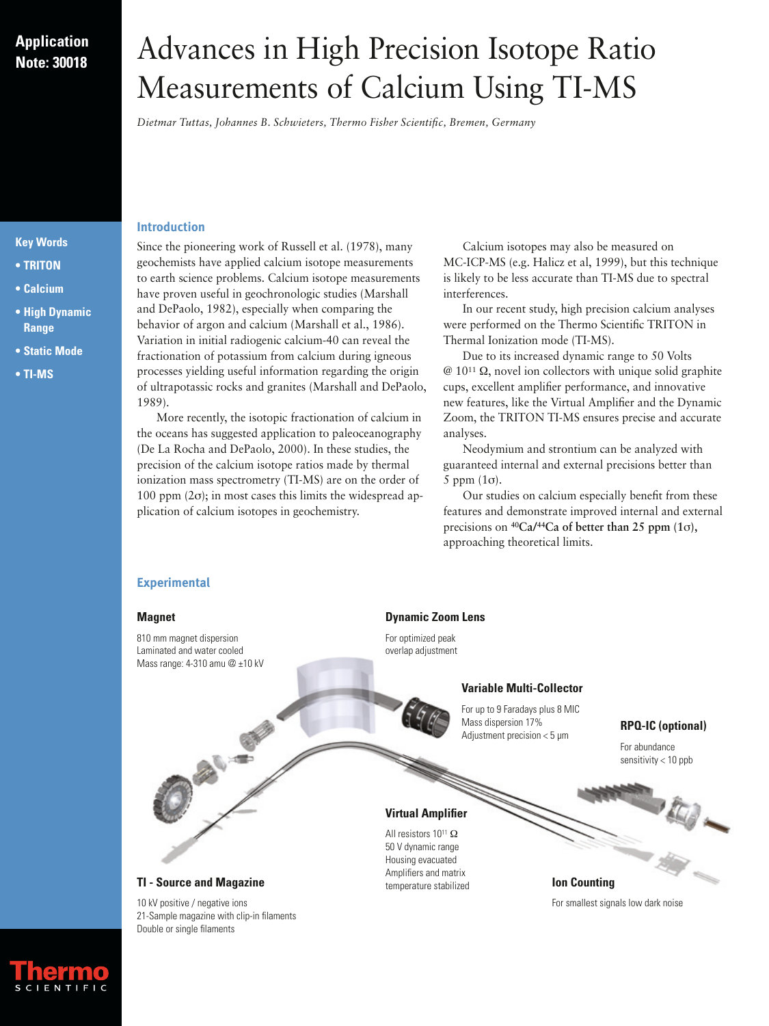# **Application Note: 30018**

**Key Words • TRITON • Calcium**

**• High Dynamic Range • Static Mode**

**• TI-MS**

# Advances in High Precision Isotope Ratio Measurements of Calcium Using TI-MS

*Dietmar Tuttas, Johannes B. Schwieters, Thermo Fisher Scientific, Bremen, Germany*

#### **Introduction**

Since the pioneering work of Russell et al. (1978), many geochemists have applied calcium isotope measurements to earth science problems. Calcium isotope measurements have proven useful in geochronologic studies (Marshall and DePaolo, 1982), especially when comparing the behavior of argon and calcium (Marshall et al., 1986). Variation in initial radiogenic calcium-40 can reveal the fractionation of potassium from calcium during igneous processes yielding useful information regarding the origin of ultrapotassic rocks and granites (Marshall and DePaolo, 1989).

More recently, the isotopic fractionation of calcium in the oceans has suggested application to paleoceanography (De La Rocha and DePaolo, 2000). In these studies, the precision of the calcium isotope ratios made by thermal ionization mass spectrometry (TI-MS) are on the order of  $100$  ppm  $(2σ)$ ; in most cases this limits the widespread application of calcium isotopes in geochemistry.

Calcium isotopes may also be measured on MC-ICP-MS (e.g. Halicz et al, 1999), but this technique is likely to be less accurate than TI-MS due to spectral interferences.

In our recent study, high precision calcium analyses were performed on the Thermo Scientific TRITON in Thermal Ionization mode (TI-MS).

Due to its increased dynamic range to 50 Volts  $@ 10^{11} \Omega$ , novel ion collectors with unique solid graphite cups, excellent amplifier performance, and innovative new features, like the Virtual Amplifier and the Dynamic Zoom, the TRITON TI-MS ensures precise and accurate analyses.

Neodymium and strontium can be analyzed with guaranteed internal and external precisions better than 5 ppm  $(1\sigma)$ .

Our studies on calcium especially benefit from these features and demonstrate improved internal and external precisions on **40Ca/44Ca of better than 25 ppm (1**σ**),** approaching theoretical limits.

**Ion Counting**

For smallest signals low dark noise

#### **Experimental**

#### **Magnet**

810 mm magnet dispersion Laminated and water cooled Mass range: 4-310 amu @ ±10 kV

#### **Dynamic Zoom Lens**

For optimized peak overlap adjustment

#### **Variable Multi-Collector**

For up to 9 Faradays plus 8 MIC Mass dispersion 17% Adjustment precision < 5 µm

# **RPQ-IC (optional)**

For abundance sensitivity < 10 ppb

#### **Virtual Amplifier**

All resistors 10<sup>11</sup> Ω 50 V dynamic range Housing evacuated Amplifiers and matrix temperature stabilized



**DAY REP** 

10 kV positive / negative ions 21-Sample magazine with clip-in filaments Double or single filaments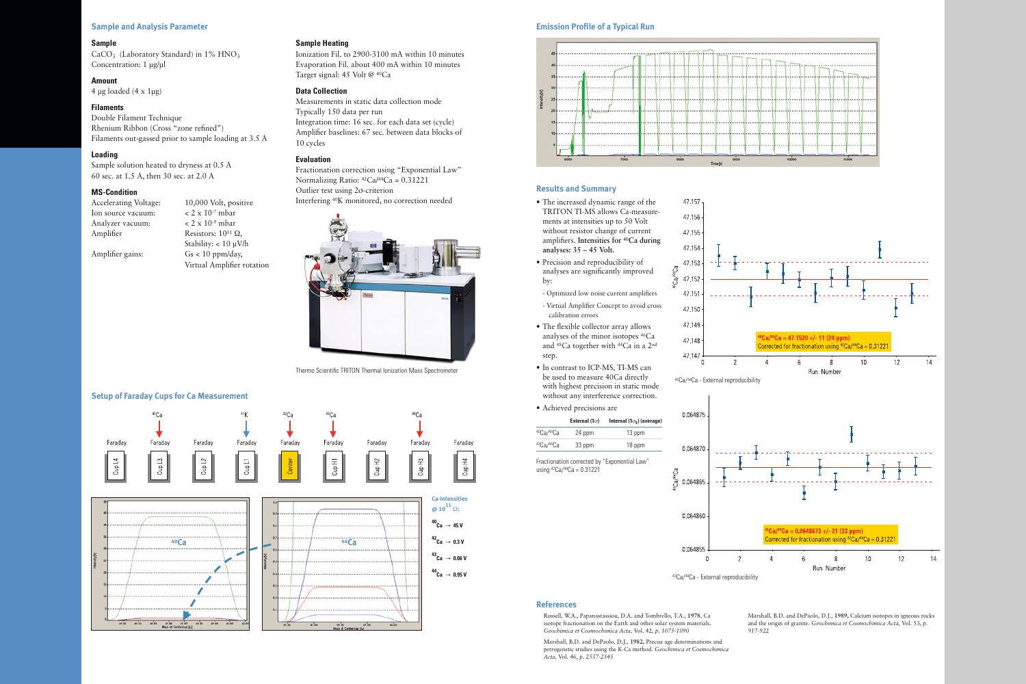# **Setup of Faraday Cups for Ca Measurement**

the state of the state of the

 $450$ 

# **Emission Profile of a Typical Run**

#### **Results and Summary**

CaCO<sub>3</sub> (Laboratory Standard) in  $1\%$  HNO<sub>3</sub> Concentration: 1 µg/µl

#### **Sample and Analysis Parameter**

#### **Sample**

# **Amount**

4 µg loaded  $(4 \times 1)$ µg)

#### **Filaments**

Double Filament Technique Rhenium Ribbon (Cross "zone refined") Filaments out-gassed prior to sample loading at 3.5 A

- Ion source vacuum:  $\lt 2 \times 10^{-7}$  mbar Analyzer vacuum: < 2 x 10-9 mbar Amplifier Resistors:  $10^{11} \Omega$ ,
- Accelerating Voltage: 10,000 Volt, positive Stability: < 10 µV/h Amplifier gains: Gs < 10 ppm/day, Virtual Amplifier rotation

## **Loading**

Sample solution heated to dryness at 0.5 A 60 sec. at 1.5 A, then 30 sec. at 2.0 A

#### **MS-Condition**

# **Sample Heating**

Ionization Fil. to 2900-3100 mA within 10 minutes Evaporation Fil. about 400 mA within 10 minutes Target signal: 45 Volt @ 40Ca

#### **Data Collection**

Measurements in static data collection mode Typically 150 data per run Integration time: 16 sec. for each data set (cycle) Amplifier baselines: 67 sec. between data blocks of 10 cycles

#### **Evaluation**

Fractionation correction using "Exponential Law" Normalizing Ratio: 42Ca/44Ca = 0.31221 Outlier test using 2σ-criterion Interfering 40K monitored, no correction needed







 $48.32$ 

 $41.34$ 

 $41.38$ 

42.00



<u>도</u>

- The increased dynamic range of the
- 
- 
- 
- 
- Achieved precisions are





#### **References**

Russell, W.A., Papanastassiou, D.A. and Tombrello, T.A., **1978**, Ca isotope fractionation on the Earth and other solar system materials. *Geochimica et Cosmochimica Acta,* Vol. 42, *p. 1075-1090*

Marshall, B.D. and DePaolo, D.J., **1982,** Precise age determinations and petrogenetic studies using the K-Ca method. *Geochimica et Cosmochimica Acta,* Vol. 46, *p. 2537-2545*



Marshall, B.D. and DePaolo, D.J., **1989,** Calcium isotopes in igneous rocks and the origin of granite. *Geochimica et Cosmochimica Acta,* Vol. 53, *p.* 

*917-922*

Thermo Scientific TRITON Thermal Ionization Mass Spectrometer